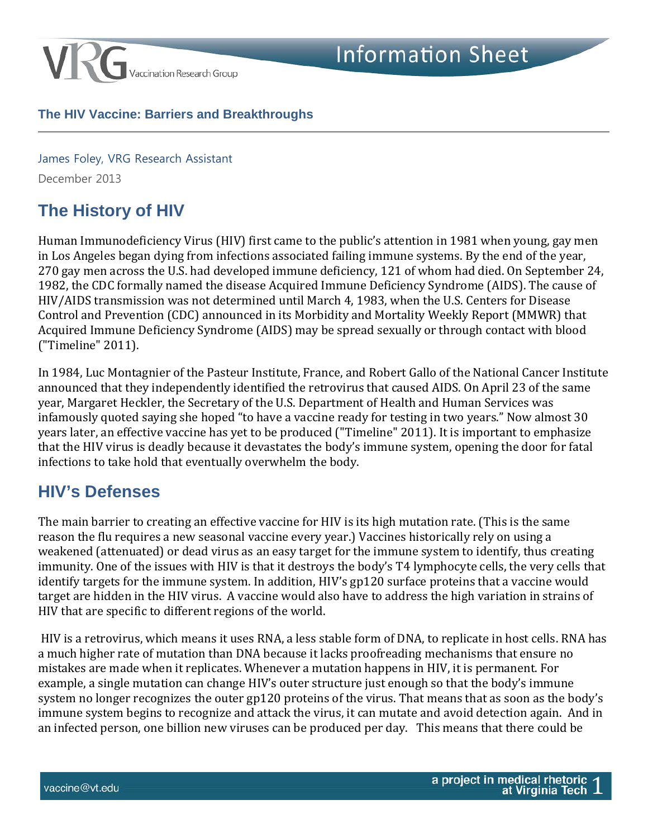

#### **The HIV Vaccine: Barriers and Breakthroughs**

James Foley, VRG Research Assistant December 2013

# **The History of HIV**

Human Immunodeficiency Virus (HIV) first came to the public's attention in 1981 when young, gay men in Los Angeles began dying from infections associated failing immune systems. By the end of the year, 270 gay men across the U.S. had developed immune deficiency, 121 of whom had died. On September 24, 1982, the CDC formally named the disease Acquired Immune Deficiency Syndrome (AIDS). The cause of HIV/AIDS transmission was not determined until March 4, 1983, when the U.S. Centers for Disease Control and Prevention (CDC) announced in its Morbidity and Mortality Weekly Report (MMWR) that Acquired Immune Deficiency Syndrome (AIDS) may be spread sexually or through contact with blood ("Timeline" 2011).

In 1984, Luc Montagnier of the Pasteur Institute, France, and Robert Gallo of the National Cancer Institute announced that they independently identified the retrovirus that caused AIDS. On April 23 of the same year, Margaret Heckler, the Secretary of the U.S. Department of Health and Human Services was infamously quoted saying she hoped "to have a vaccine ready for testing in two years." Now almost 30 years later, an effective vaccine has yet to be produced ("Timeline" 2011). It is important to emphasize that the HIV virus is deadly because it devastates the body's immune system, opening the door for fatal infections to take hold that eventually overwhelm the body.

### **HIV's Defenses**

The main barrier to creating an effective vaccine for HIV is its high mutation rate. (This is the same reason the flu requires a new seasonal vaccine every year.) Vaccines historically rely on using a weakened (attenuated) or dead virus as an easy target for the immune system to identify, thus creating immunity. One of the issues with HIV is that it destroys the body's T4 lymphocyte cells, the very cells that identify targets for the immune system. In addition, HIV's gp120 surface proteins that a vaccine would target are hidden in the HIV virus. A vaccine would also have to address the high variation in strains of HIV that are specific to different regions of the world.

HIV is a retrovirus, which means it uses RNA, a less stable form of DNA, to replicate in host cells. RNA has a much higher rate of mutation than DNA because it lacks proofreading mechanisms that ensure no mistakes are made when it replicates. Whenever a mutation happens in HIV, it is permanent. For example, a single mutation can change HIV's outer structure just enough so that the body's immune system no longer recognizes the outer gp120 proteins of the virus. That means that as soon as the body's immune system begins to recognize and attack the virus, it can mutate and avoid detection again. And in an infected person, one billion new viruses can be produced per day. This means that there could be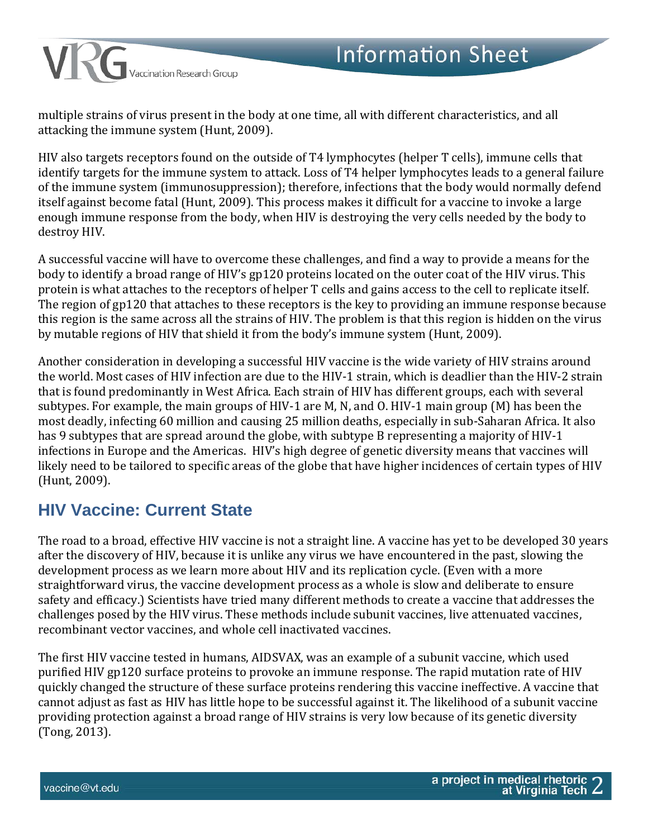

multiple strains of virus present in the body at one time, all with different characteristics, and all attacking the immune system (Hunt, 2009).

HIV also targets receptors found on the outside of T4 lymphocytes (helper T cells), immune cells that identify targets for the immune system to attack. Loss of T4 helper lymphocytes leads to a general failure of the immune system (immunosuppression); therefore, infections that the body would normally defend itself against become fatal (Hunt, 2009). This process makes it difficult for a vaccine to invoke a large enough immune response from the body, when HIV is destroying the very cells needed by the body to destroy HIV.

A successful vaccine will have to overcome these challenges, and find a way to provide a means for the body to identify a broad range of HIV's gp120 proteins located on the outer coat of the HIV virus. This protein is what attaches to the receptors of helper T cells and gains access to the cell to replicate itself. The region of gp120 that attaches to these receptors is the key to providing an immune response because this region is the same across all the strains of HIV. The problem is that this region is hidden on the virus by mutable regions of HIV that shield it from the body's immune system (Hunt, 2009).

Another consideration in developing a successful HIV vaccine is the wide variety of HIV strains around the world. Most cases of HIV infection are due to the HIV-1 strain, which is deadlier than the HIV-2 strain that is found predominantly in West Africa. Each strain of HIV has different groups, each with several subtypes. For example, the main groups of HIV-1 are M, N, and O. HIV-1 main group (M) has been the most deadly, infecting 60 million and causing 25 million deaths, especially in sub-Saharan Africa. It also has 9 subtypes that are spread around the globe, with subtype B representing a majority of HIV-1 infections in Europe and the Americas. HIV's high degree of genetic diversity means that vaccines will likely need to be tailored to specific areas of the globe that have higher incidences of certain types of HIV (Hunt, 2009).

## **HIV Vaccine: Current State**

The road to a broad, effective HIV vaccine is not a straight line. A vaccine has yet to be developed 30 years after the discovery of HIV, because it is unlike any virus we have encountered in the past, slowing the development process as we learn more about HIV and its replication cycle. (Even with a more straightforward virus, the vaccine development process as a whole is slow and deliberate to ensure safety and efficacy.) Scientists have tried many different methods to create a vaccine that addresses the challenges posed by the HIV virus. These methods include subunit vaccines, live attenuated vaccines, recombinant vector vaccines, and whole cell inactivated vaccines.

The first HIV vaccine tested in humans, AIDSVAX, was an example of a subunit vaccine, which used purified HIV gp120 surface proteins to provoke an immune response. The rapid mutation rate of HIV quickly changed the structure of these surface proteins rendering this vaccine ineffective. A vaccine that cannot adjust as fast as HIV has little hope to be successful against it. The likelihood of a subunit vaccine providing protection against a broad range of HIV strains is very low because of its genetic diversity (Tong, 2013).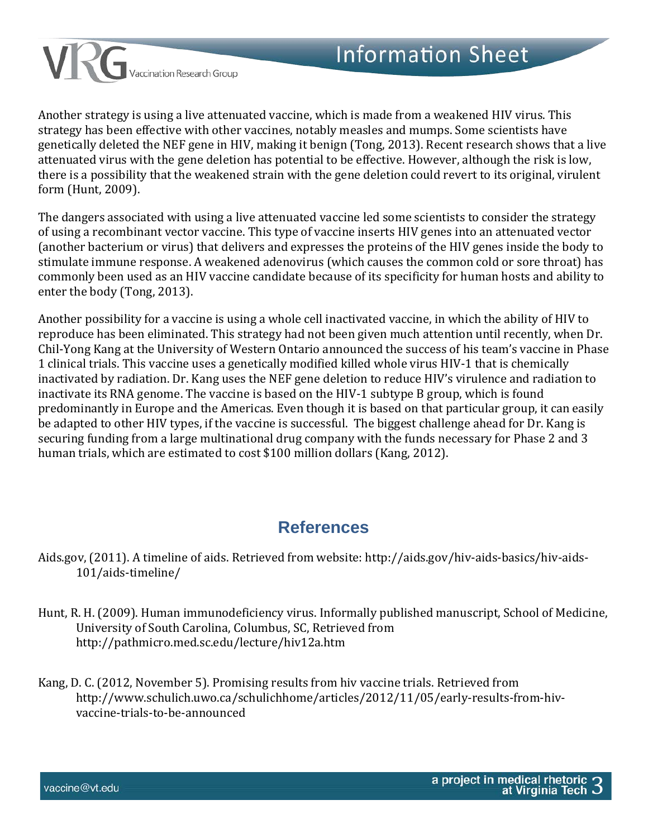

Another strategy is using a live attenuated vaccine, which is made from a weakened HIV virus. This strategy has been effective with other vaccines, notably measles and mumps. Some scientists have genetically deleted the NEF gene in HIV, making it benign (Tong, 2013). Recent research shows that a live attenuated virus with the gene deletion has potential to be effective. However, although the risk is low, there is a possibility that the weakened strain with the gene deletion could revert to its original, virulent form (Hunt, 2009).

The dangers associated with using a live attenuated vaccine led some scientists to consider the strategy of using a recombinant vector vaccine. This type of vaccine inserts HIV genes into an attenuated vector (another bacterium or virus) that delivers and expresses the proteins of the HIV genes inside the body to stimulate immune response. A weakened adenovirus (which causes the common cold or sore throat) has commonly been used as an HIV vaccine candidate because of its specificity for human hosts and ability to enter the body (Tong, 2013).

Another possibility for a vaccine is using a whole cell inactivated vaccine, in which the ability of HIV to reproduce has been eliminated. This strategy had not been given much attention until recently, when Dr. Chil-Yong Kang at the University of Western Ontario announced the success of his team's vaccine in Phase 1 clinical trials. This vaccine uses a genetically modified killed whole virus HIV-1 that is chemically inactivated by radiation. Dr. Kang uses the NEF gene deletion to reduce HIV's virulence and radiation to inactivate its RNA genome. The vaccine is based on the HIV-1 subtype B group, which is found predominantly in Europe and the Americas. Even though it is based on that particular group, it can easily be adapted to other HIV types, if the vaccine is successful. The biggest challenge ahead for Dr. Kang is securing funding from a large multinational drug company with the funds necessary for Phase 2 and 3 human trials, which are estimated to cost \$100 million dollars (Kang, 2012).

### **References**

Aids.gov, (2011). A timeline of aids. Retrieved from website: http://aids.gov/hiv-aids-basics/hiv-aids-101/aids-timeline/

Hunt, R. H. (2009). Human immunodeficiency virus. Informally published manuscript, School of Medicine, University of South Carolina, Columbus, SC, Retrieved from http://pathmicro.med.sc.edu/lecture/hiv12a.htm

Kang, D. C. (2012, November 5). Promising results from hiv vaccine trials. Retrieved from http://www.schulich.uwo.ca/schulichhome/articles/2012/11/05/early-results-from-hivvaccine-trials-to-be-announced